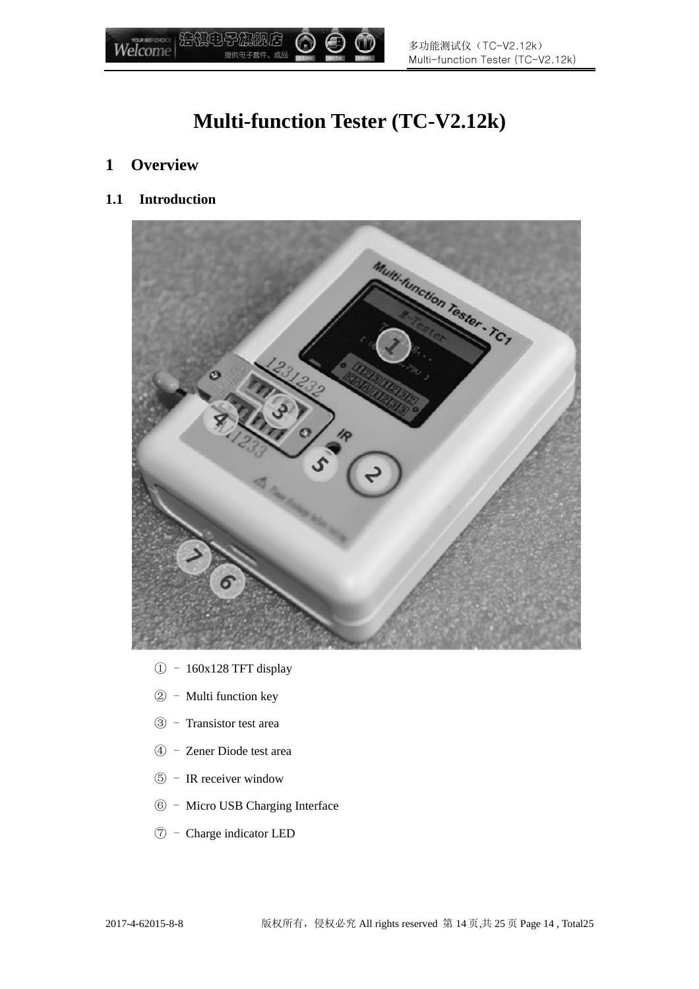

# **Multi-function Tester (TC-V2.12k)**

- **1 Overview**
- **1.1 Introduction**



- ① 160x128 TFT display
- ② Multi function key
- ③ Transistor test area
- ④ Zener Diode test area
- ⑤ IR receiver window
- ⑥ Micro USB Charging Interface
- ⑦ Charge indicator LED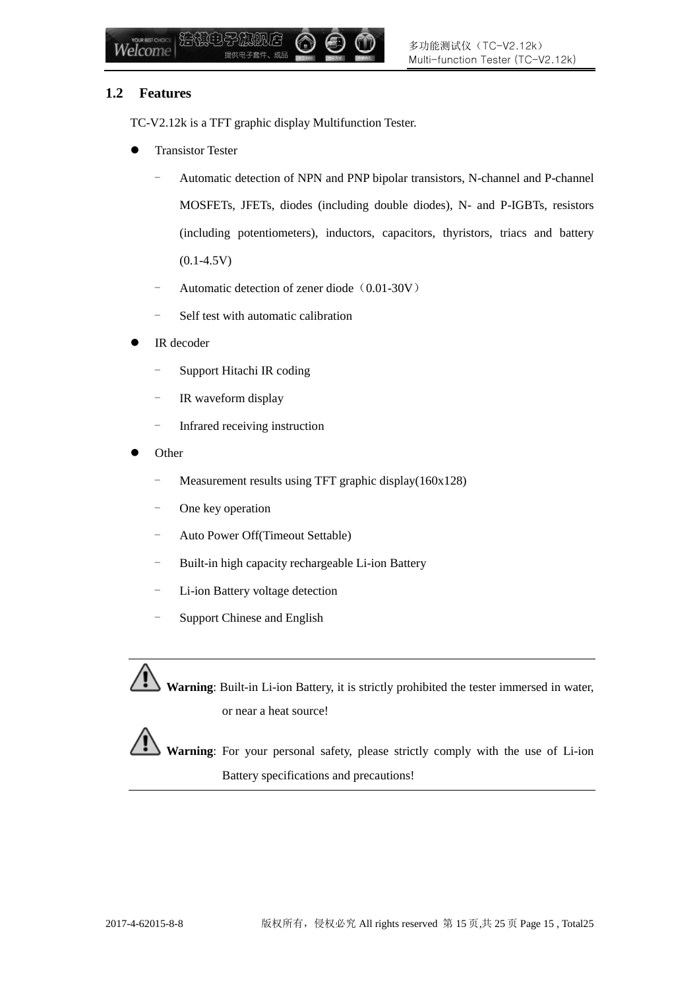#### **1.2 Features**

TC-V2.12k is a TFT graphic display Multifunction Tester.

- Transistor Tester
	- Automatic detection of NPN and PNP bipolar transistors, N-channel and P-channel MOSFETs, JFETs, diodes (including double diodes), N- and P-IGBTs, resistors (including potentiometers), inductors, capacitors, thyristors, triacs and battery  $(0.1 - 4.5V)$
	- Automatic detection of zener diode (0.01-30V)
	- Self test with automatic calibration
- IR decoder
	- Support Hitachi IR coding
	- IR waveform display
	- Infrared receiving instruction
- Other
	- Measurement results using TFT graphic display(160x128)
	- One key operation
	- Auto Power Off(Timeout Settable)
	- Built-in high capacity rechargeable Li-ion Battery
	- Li-ion Battery voltage detection
	- Support Chinese and English

**Warning**: Built-in Li-ion Battery, it is strictly prohibited the tester immersed in water, or near a heat source!

**Warning**: For your personal safety, please strictly comply with the use of Li-ion Battery specifications and precautions!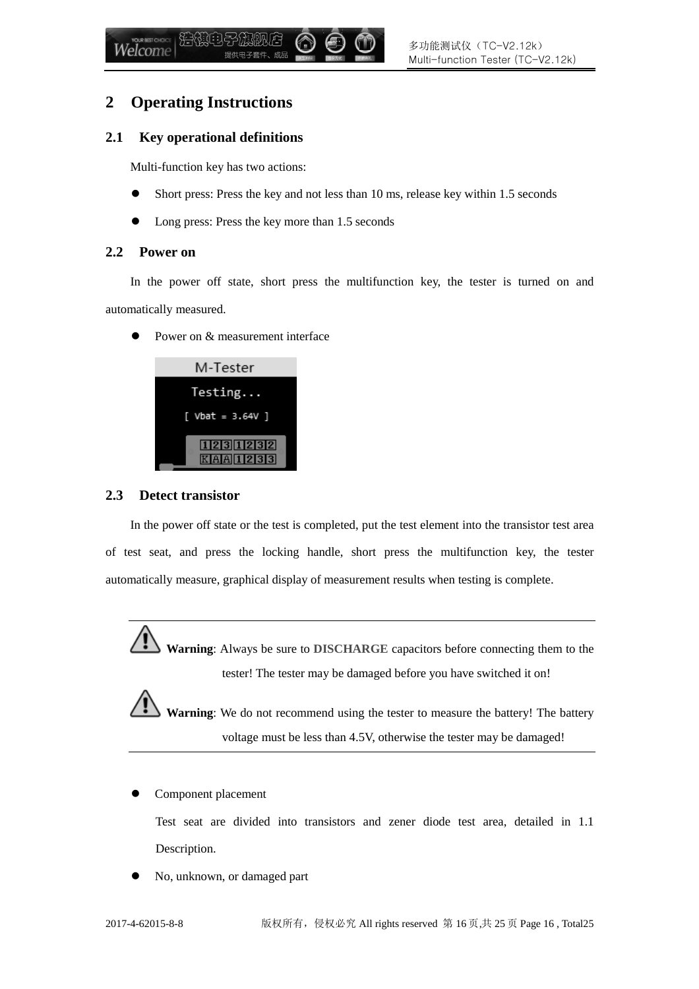### **2 Operating Instructions**

#### **2.1 Key operational definitions**

Multi-function key has two actions:

- Short press: Press the key and not less than 10 ms, release key within 1.5 seconds
- Long press: Press the key more than 1.5 seconds

#### **2.2 Power on**

In the power off state, short press the multifunction key, the tester is turned on and automatically measured.

• Power on & measurement interface

| M-Tester         |
|------------------|
| Testing          |
| [ Vbat = 3.64V ] |
| 1231232          |
| K A A 1 2 3 3 3  |

#### **2.3 Detect transistor**

In the power off state or the test is completed, put the test element into the transistor test area of test seat, and press the locking handle, short press the multifunction key, the tester automatically measure, graphical display of measurement results when testing is complete.

**Warning**: Always be sure to DISCHARGE capacitors before connecting them to the tester! The tester may be damaged before you have switched it on!

**Warning**: We do not recommend using the tester to measure the battery! The battery voltage must be less than 4.5V, otherwise the tester may be damaged!

Component placement

Test seat are divided into transistors and zener diode test area, detailed in 1.1 Description.

No, unknown, or damaged part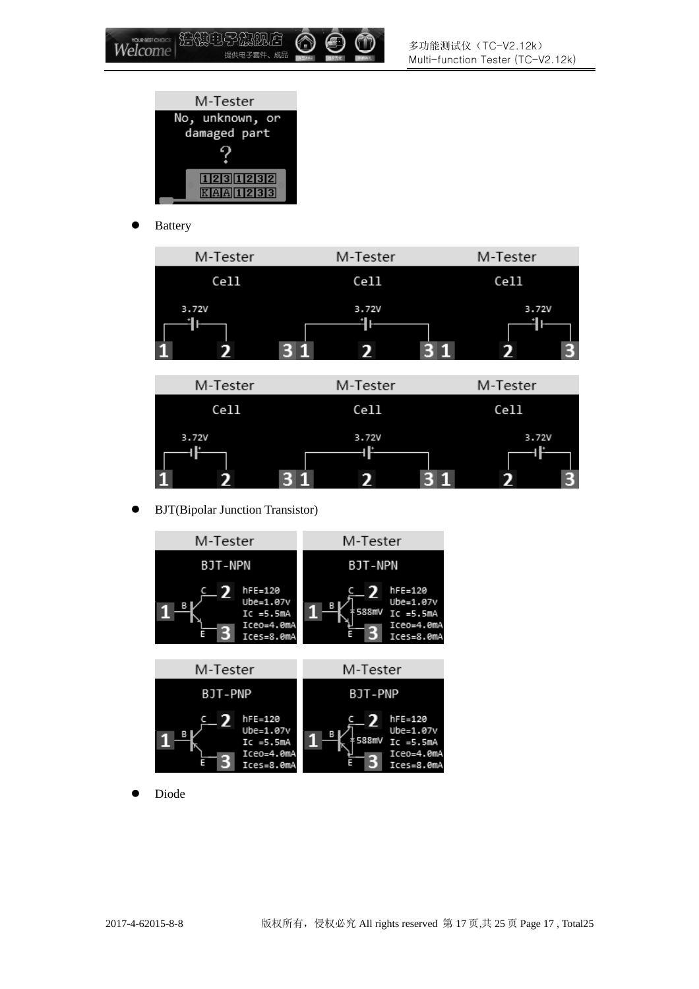

| 浩傲电子旗舰店

提供电子套件、成品

• Battery

Welcome

| M-Tester | M-Tester | M-Tester |  |
|----------|----------|----------|--|
| Cell     | Cell     | Cell     |  |
| 3.72V    | 3.72V    | 3.72V    |  |



BJT(Bipolar Junction Transistor)



Diode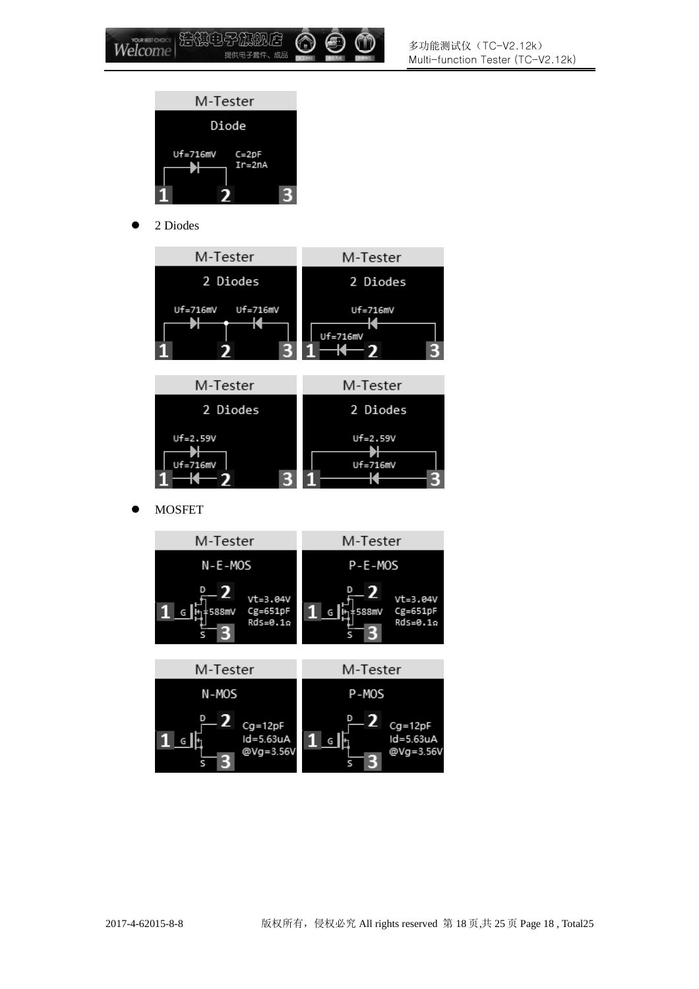

● 2 Diodes





**•** MOSFET

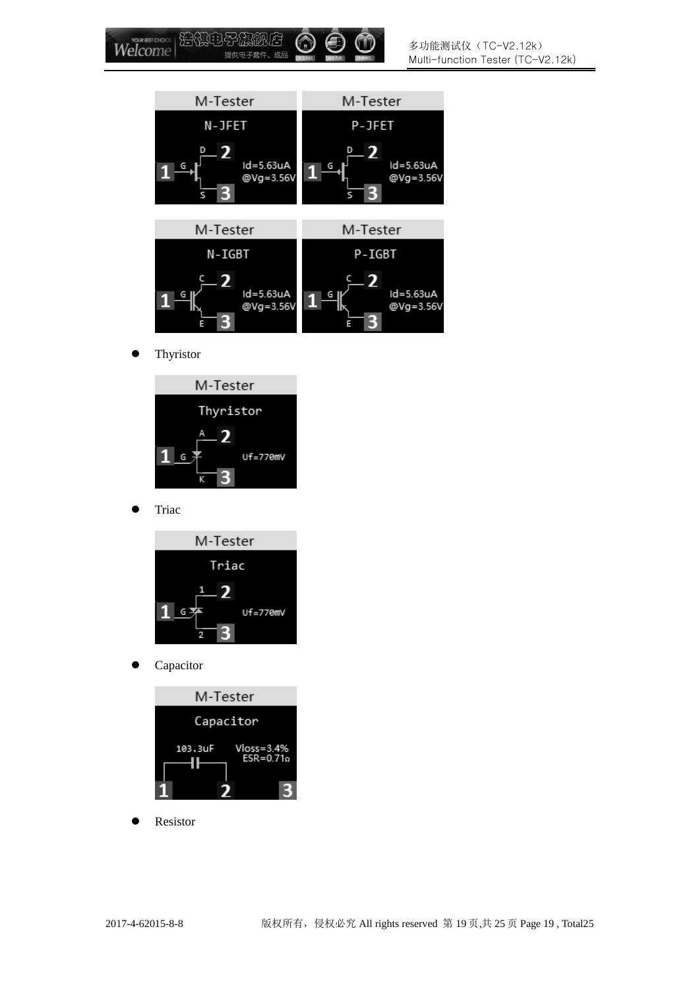

**•** Thyristor



**•** Triac



• Capacitor



Resistor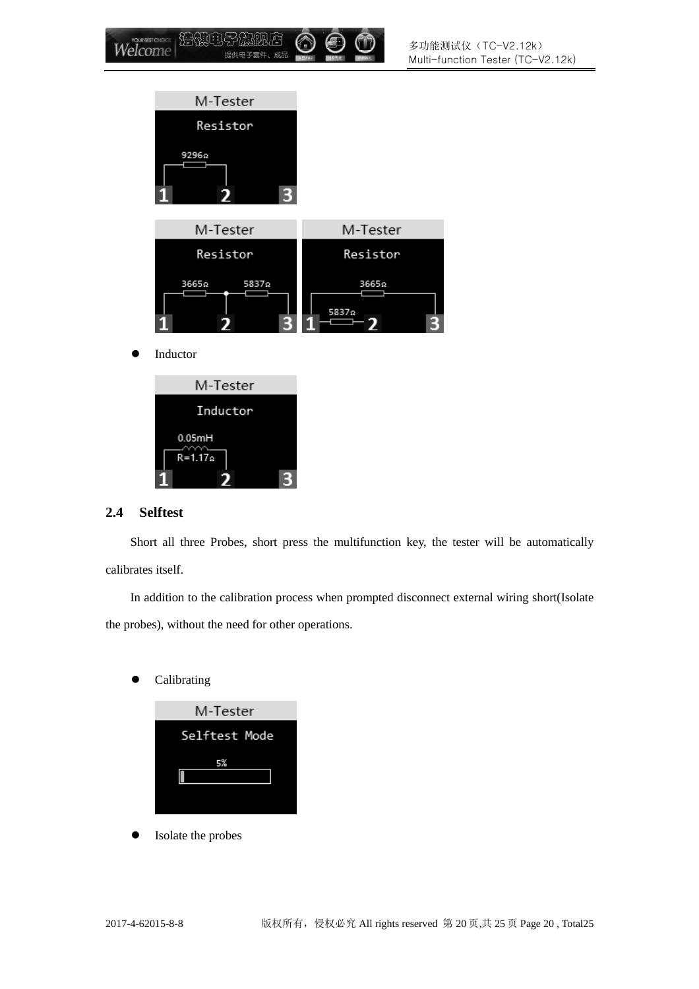

#### **2.4 Selftest**

0.05mH  $R = 1.17$ 

Short all three Probes, short press the multifunction key, the tester will be automatically calibrates itself.

In addition to the calibration process when prompted disconnect external wiring short(Isolate the probes), without the need for other operations.

Calibrating

| M-Tester      |  |  |  |  |
|---------------|--|--|--|--|
| Selftest Mode |  |  |  |  |
| 5%            |  |  |  |  |
|               |  |  |  |  |
|               |  |  |  |  |

Isolate the probes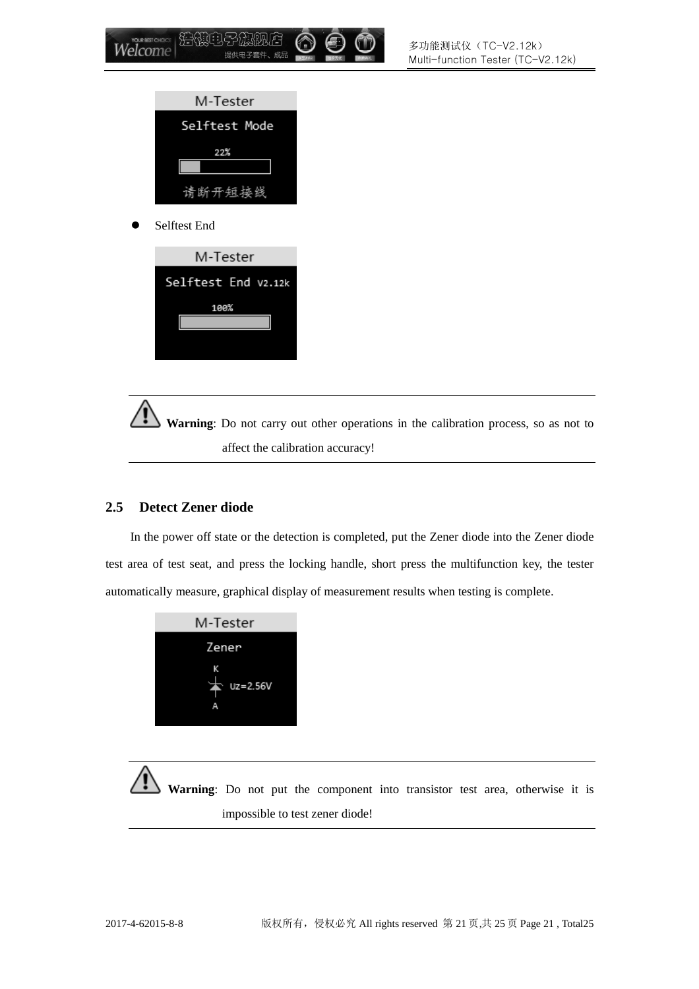

Selftest End



**Warning**: Do not carry out other operations in the calibration process, so as not to affect the calibration accuracy!

### **2.5 Detect Zener diode**

In the power off state or the detection is completed, put the Zener diode into the Zener diode test area of test seat, and press the locking handle, short press the multifunction key, the tester automatically measure, graphical display of measurement results when testing is complete.



**Warning**: Do not put the component into transistor test area, otherwise it is impossible to test zener diode!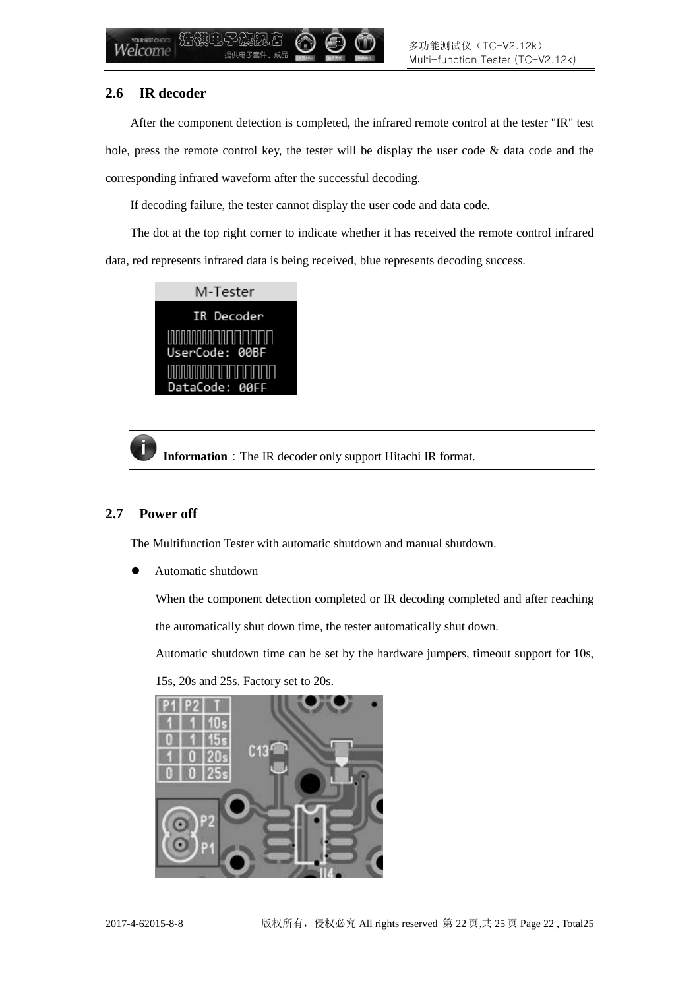#### **2.6 IR decoder**

After the component detection is completed, the infrared remote control at the tester "IR" test hole, press the remote control key, the tester will be display the user code  $\&$  data code and the corresponding infrared waveform after the successful decoding.

If decoding failure, the tester cannot display the user code and data code.

The dot at the top right corner to indicate whether it has received the remote control infrared data, red represents infrared data is being received, blue represents decoding success.



**Information**: The IR decoder only support Hitachi IR format.

### **2.7 Power off**

The Multifunction Tester with automatic shutdown and manual shutdown.

Automatic shutdown

When the component detection completed or IR decoding completed and after reaching

the automatically shut down time, the tester automatically shut down.

Automatic shutdown time can be set by the hardware jumpers, timeout support for 10s,



15s, 20s and 25s. Factory set to 20s.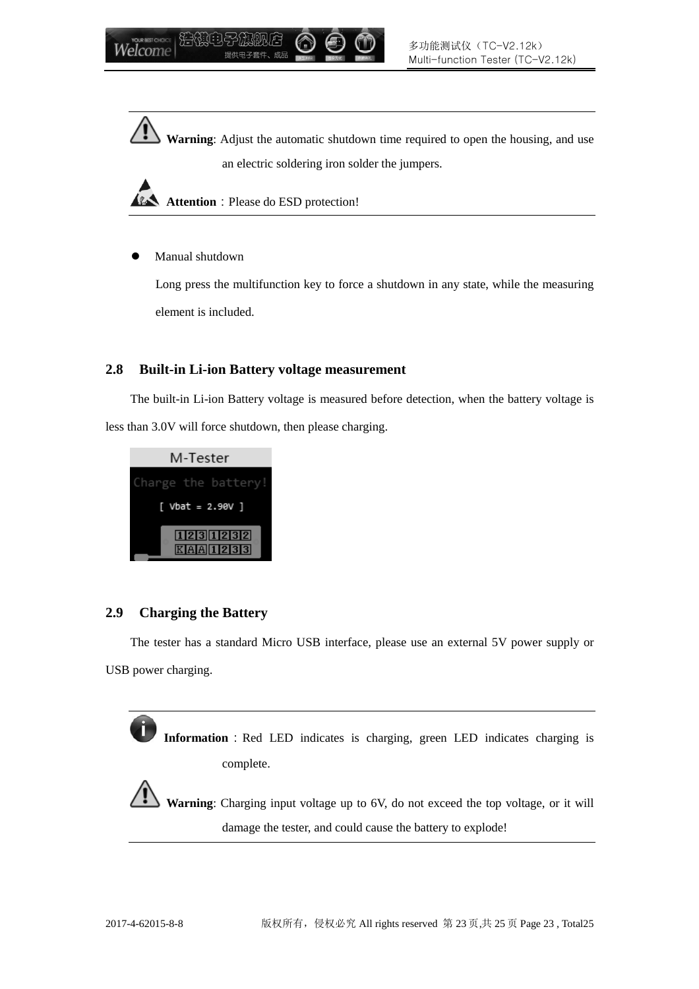**Warning**: Adjust the automatic shutdown time required to open the housing, and use an electric soldering iron solder the jumpers.

**Attention**: Please do ESD protection!

Manual shutdown

Long press the multifunction key to force a shutdown in any state, while the measuring element is included.

#### **2.8 Built-in Li-ion Battery voltage measurement**

The built-in Li-ion Battery voltage is measured before detection, when the battery voltage is less than 3.0V will force shutdown, then please charging.



### **2.9 Charging the Battery**

The tester has a standard Micro USB interface, please use an external 5V power supply or USB power charging.

**Information**: Red LED indicates is charging, green LED indicates charging is complete.

**Warning**: Charging input voltage up to 6V, do not exceed the top voltage, or it will damage the tester, and could cause the battery to explode!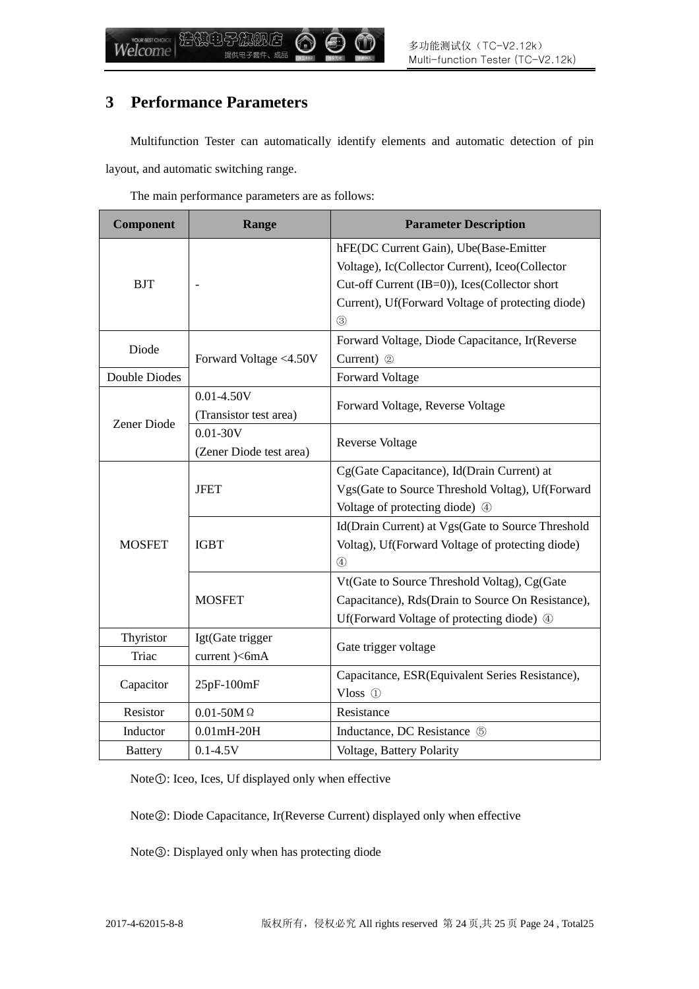### **3 Performance Parameters**

Multifunction Tester can automatically identify elements and automatic detection of pin layout, and automatic switching range.

The main performance parameters are as follows:

| Component      | Range                   | <b>Parameter Description</b>                      |  |
|----------------|-------------------------|---------------------------------------------------|--|
|                |                         | hFE(DC Current Gain), Ube(Base-Emitter            |  |
|                |                         | Voltage), Ic(Collector Current), Iceo(Collector   |  |
| <b>BJT</b>     |                         | Cut-off Current (IB=0)), Ices(Collector short     |  |
|                |                         | Current), Uf(Forward Voltage of protecting diode) |  |
|                |                         | $\circled{3}$                                     |  |
| Diode          |                         | Forward Voltage, Diode Capacitance, Ir(Reverse    |  |
|                | Forward Voltage <4.50V  | Current) 2                                        |  |
| Double Diodes  |                         | Forward Voltage                                   |  |
|                | $0.01 - 4.50V$          | Forward Voltage, Reverse Voltage                  |  |
| Zener Diode    | (Transistor test area)  |                                                   |  |
|                | $0.01 - 30V$            | <b>Reverse Voltage</b>                            |  |
|                | (Zener Diode test area) |                                                   |  |
|                |                         | Cg(Gate Capacitance), Id(Drain Current) at        |  |
|                | <b>JFET</b>             | Vgs(Gate to Source Threshold Voltag), Uf(Forward  |  |
|                |                         | Voltage of protecting diode) 4                    |  |
|                |                         | Id(Drain Current) at Vgs(Gate to Source Threshold |  |
| <b>MOSFET</b>  | <b>IGBT</b>             | Voltag), Uf(Forward Voltage of protecting diode)  |  |
|                |                         | $\circled{4}$                                     |  |
|                |                         | Vt(Gate to Source Threshold Voltag), Cg(Gate      |  |
|                | <b>MOSFET</b>           | Capacitance), Rds(Drain to Source On Resistance), |  |
|                |                         | Uf(Forward Voltage of protecting diode) 4         |  |
| Thyristor      | Igt(Gate trigger        |                                                   |  |
| Triac          | current )<6mA           | Gate trigger voltage                              |  |
| Capacitor      | 25pF-100mF              | Capacitance, ESR(Equivalent Series Resistance),   |  |
|                |                         | Vloss $(1)$                                       |  |
| Resistor       | $0.01 - 50M$ $\Omega$   | Resistance                                        |  |
| Inductor       | $0.01mH-20H$            | Inductance, DC Resistance 5                       |  |
| <b>Battery</b> | $0.1 - 4.5V$            | Voltage, Battery Polarity                         |  |

Note①: Iceo, Ices, Uf displayed only when effective

Note②: Diode Capacitance, Ir(Reverse Current) displayed only when effective

Note③: Displayed only when has protecting diode